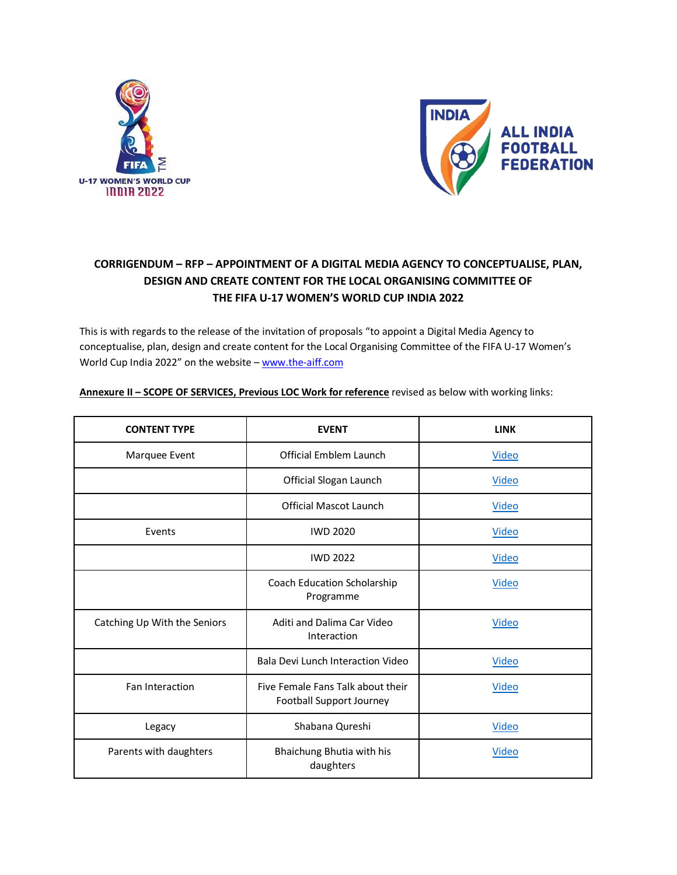



## **CORRIGENDUM – RFP – APPOINTMENT OF A DIGITAL MEDIA AGENCY TO CONCEPTUALISE, PLAN, DESIGN AND CREATE CONTENT FOR THE LOCAL ORGANISING COMMITTEE OF THE FIFA U-17 WOMEN'S WORLD CUP INDIA 2022**

This is with regards to the release of the invitation of proposals "to appoint a Digital Media Agency to conceptualise, plan, design and create content for the Local Organising Committee of the FIFA U-17 Women's World Cup India 2022" on the website - [www.the-aiff.com](https://www.the-aiff.com/media/uploads/2022/04/RFP03-Final-Digital-Media-Agency.pdf)

| <b>CONTENT TYPE</b>          | <b>EVENT</b>                                                  | <b>LINK</b>  |
|------------------------------|---------------------------------------------------------------|--------------|
| Marquee Event                | Official Emblem Launch                                        | <b>Video</b> |
|                              | Official Slogan Launch                                        | Video        |
|                              | <b>Official Mascot Launch</b>                                 | Video        |
| Events                       | <b>IWD 2020</b>                                               | <b>Video</b> |
|                              | <b>IWD 2022</b>                                               | <b>Video</b> |
|                              | Coach Education Scholarship<br>Programme                      | <b>Video</b> |
| Catching Up With the Seniors | Aditi and Dalima Car Video<br>Interaction                     | <b>Video</b> |
|                              | Bala Devi Lunch Interaction Video                             | Video        |
| Fan Interaction              | Five Female Fans Talk about their<br>Football Support Journey | Video        |
| Legacy                       | Shabana Qureshi                                               | <b>Video</b> |
| Parents with daughters       | Bhaichung Bhutia with his<br>daughters                        | <b>Video</b> |

**Annexure II – SCOPE OF SERVICES, Previous LOC Work for reference** revised as below with working links: